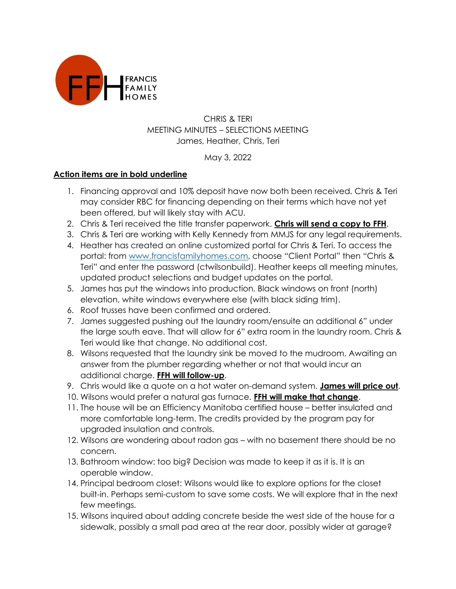

## CHRIS & TERI MEETING MINUTES – SELECTIONS MEETING James, Heather, Chris, Teri

## May 3, 2022

## **Action items are in bold underline**

- 1. Financing approval and 10% deposit have now both been received. Chris & Teri may consider RBC for financing depending on their terms which have not yet been offered, but will likely stay with ACU.
- 2. Chris & Teri received the title transfer paperwork. **Chris will send a copy to FFH**.
- 3. Chris & Teri are working with Kelly Kennedy from MMJS for any legal requirements.
- 4. Heather has created an online customized portal for Chris & Teri. To access the portal: from [www.francisfamilyhomes.com,](http://www.francisfamilyhomes.com/) choose "Client Portal" then "Chris & Teri" and enter the password (ctwilsonbuild). Heather keeps all meeting minutes, updated product selections and budget updates on the portal.
- 5. James has put the windows into production. Black windows on front (north) elevation, white windows everywhere else (with black siding trim).
- 6. Roof trusses have been confirmed and ordered.
- 7. James suggested pushing out the laundry room/ensuite an additional 6" under the large south eave. That will allow for 6" extra room in the laundry room. Chris & Teri would like that change. No additional cost.
- 8. Wilsons requested that the laundry sink be moved to the mudroom. Awaiting an answer from the plumber regarding whether or not that would incur an additional charge. **FFH will follow-up**.
- 9. Chris would like a quote on a hot water on-demand system. **James will price out**.
- 10. Wilsons would prefer a natural gas furnace. **FFH will make that change**.
- 11. The house will be an Efficiency Manitoba certified house better insulated and more comfortable long-term. The credits provided by the program pay for upgraded insulation and controls.
- 12. Wilsons are wondering about radon gas with no basement there should be no concern.
- 13. Bathroom window: too big? Decision was made to keep it as it is. It is an operable window.
- 14. Principal bedroom closet: Wilsons would like to explore options for the closet built-in. Perhaps semi-custom to save some costs. We will explore that in the next few meetings.
- 15. Wilsons inquired about adding concrete beside the west side of the house for a sidewalk, possibly a small pad area at the rear door, possibly wider at garage?